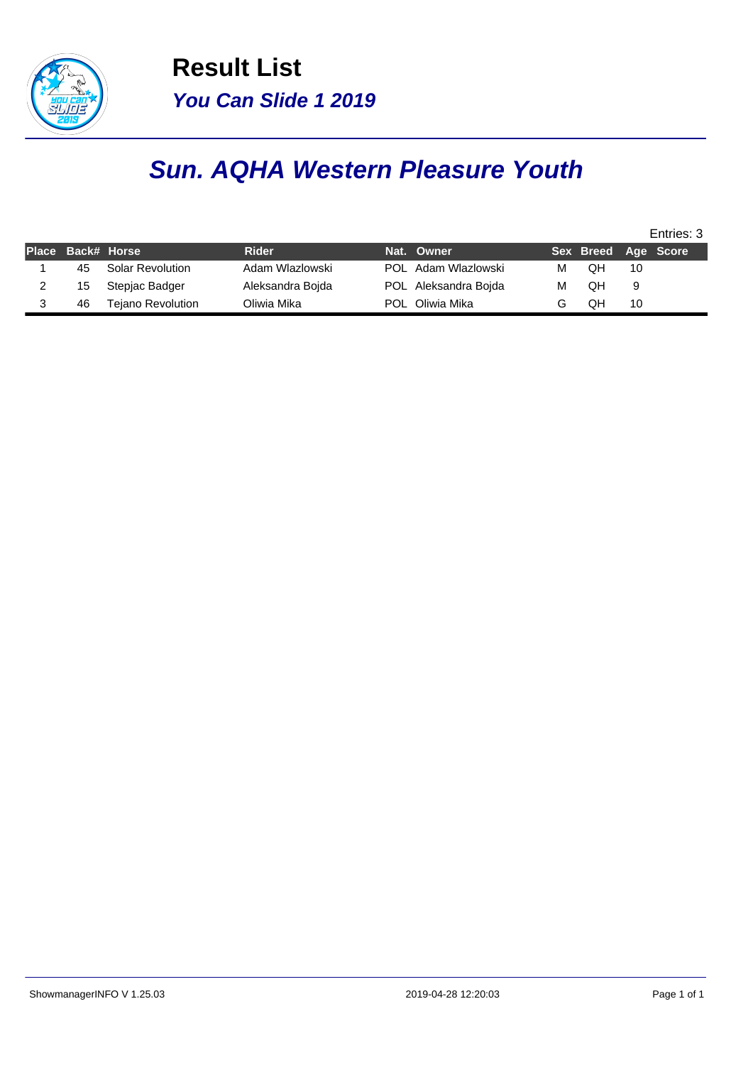

**Result List You Can Slide 1 2019**

## **Sun. AQHA Western Pleasure Youth**

|    |                          |                  |                      |   |                     |    | Entries: 3 |
|----|--------------------------|------------------|----------------------|---|---------------------|----|------------|
|    | Place Back# Horse        | <b>Rider</b>     | Nat. Owner           |   | Sex Breed Age Score |    |            |
| 45 | <b>Solar Revolution</b>  | Adam Wlazlowski  | POL Adam Wlazlowski  | M | OН                  | 10 |            |
| 15 | Stepjac Badger           | Aleksandra Boida | POL Aleksandra Bojda | M | QН                  | 9  |            |
| 46 | <b>Tejano Revolution</b> | Oliwia Mika      | POL Oliwia Mika      |   | QН                  | 10 |            |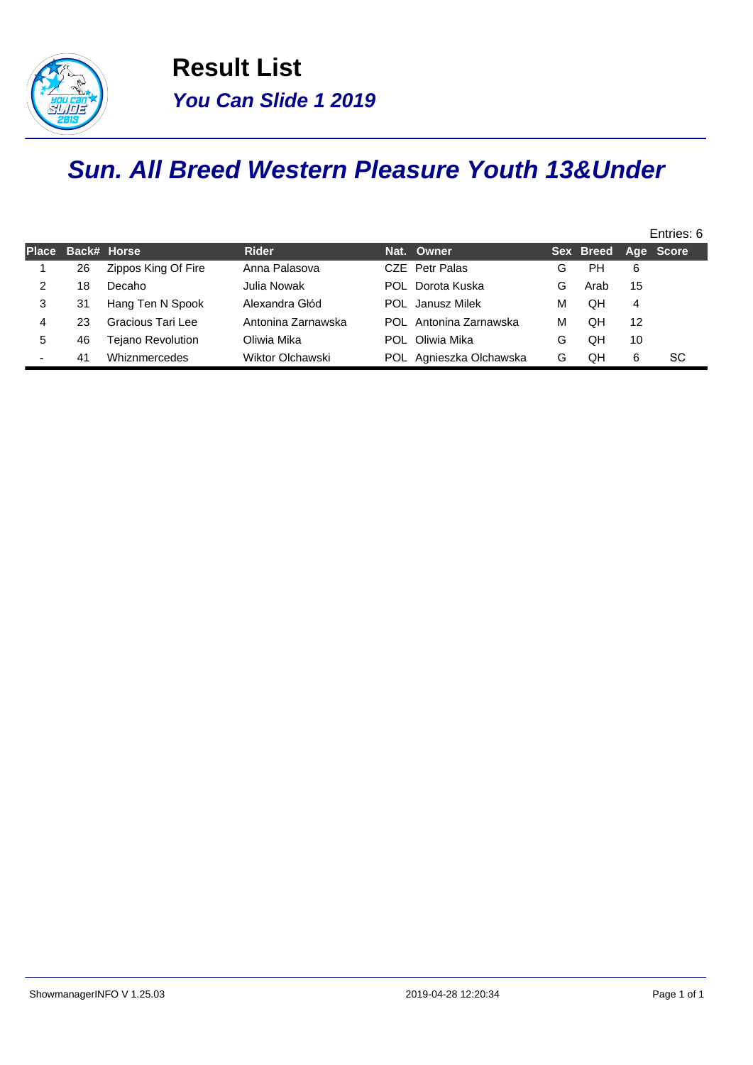

## **Sun. All Breed Western Pleasure Youth 13&Under**

|              |    |                     |                    |     |                         |   |                     |    | Entries: 6 |
|--------------|----|---------------------|--------------------|-----|-------------------------|---|---------------------|----|------------|
| <b>Place</b> |    | Back# Horse         | <b>Rider</b>       |     | Nat. Owner              |   | Sex Breed Age Score |    |            |
|              | 26 | Zippos King Of Fire | Anna Palasova      |     | CZE Petr Palas          | G | PH                  | 6  |            |
| 2            | 18 | Decaho              | Julia Nowak        | POL | Dorota Kuska            | G | Arab                | 15 |            |
| 3            | 31 | Hang Ten N Spook    | Alexandra Głód     |     | <b>POL</b> Janusz Milek | м | OН                  | 4  |            |
| 4            | 23 | Gracious Tari Lee   | Antonina Zarnawska |     | POL Antonina Zarnawska  | M | OН                  | 12 |            |
| 5            | 46 | Tejano Revolution   | Oliwia Mika        | POL | Oliwia Mika             | G | QΗ                  | 10 |            |
|              | 41 | Whiznmercedes       | Wiktor Olchawski   |     | POL Agnieszka Olchawska | G | QΗ                  | 6  | SC.        |